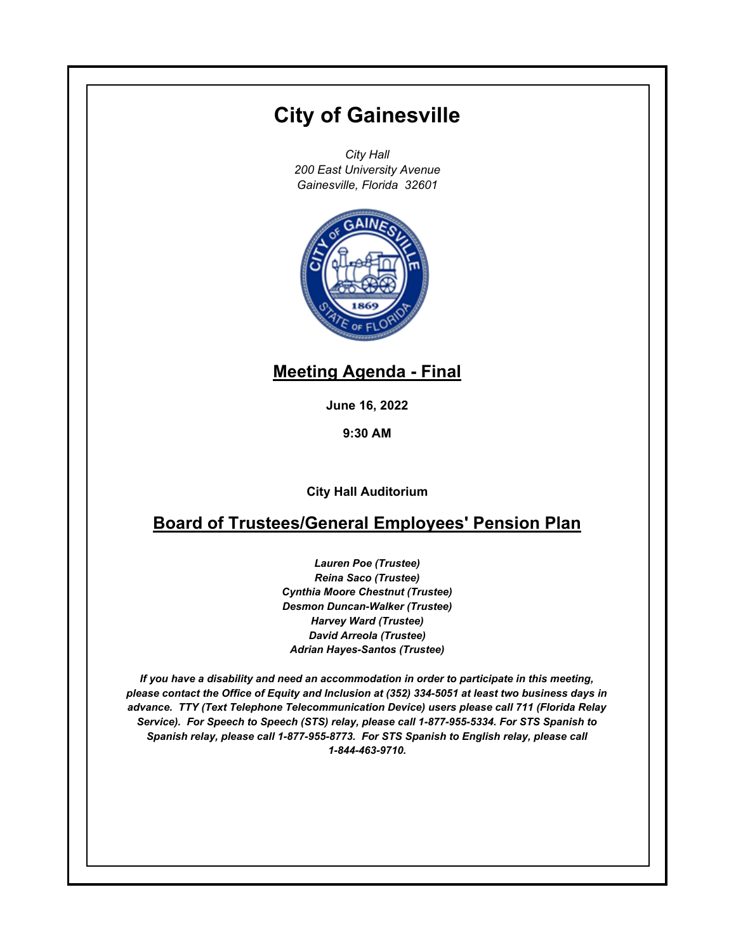# **City of Gainesville**

*City Hall 200 East University Avenue Gainesville, Florida 32601*



## **Meeting Agenda - Final**

**June 16, 2022**

**9:30 AM**

**City Hall Auditorium**

## **Board of Trustees/General Employees' Pension Plan**

*Lauren Poe (Trustee) Reina Saco (Trustee) Cynthia Moore Chestnut (Trustee) Desmon Duncan-Walker (Trustee) Harvey Ward (Trustee) David Arreola (Trustee) Adrian Hayes-Santos (Trustee)*

*If you have a disability and need an accommodation in order to participate in this meeting, please contact the Office of Equity and Inclusion at (352) 334-5051 at least two business days in advance. TTY (Text Telephone Telecommunication Device) users please call 711 (Florida Relay Service). For Speech to Speech (STS) relay, please call 1-877-955-5334. For STS Spanish to Spanish relay, please call 1-877-955-8773. For STS Spanish to English relay, please call 1-844-463-9710.*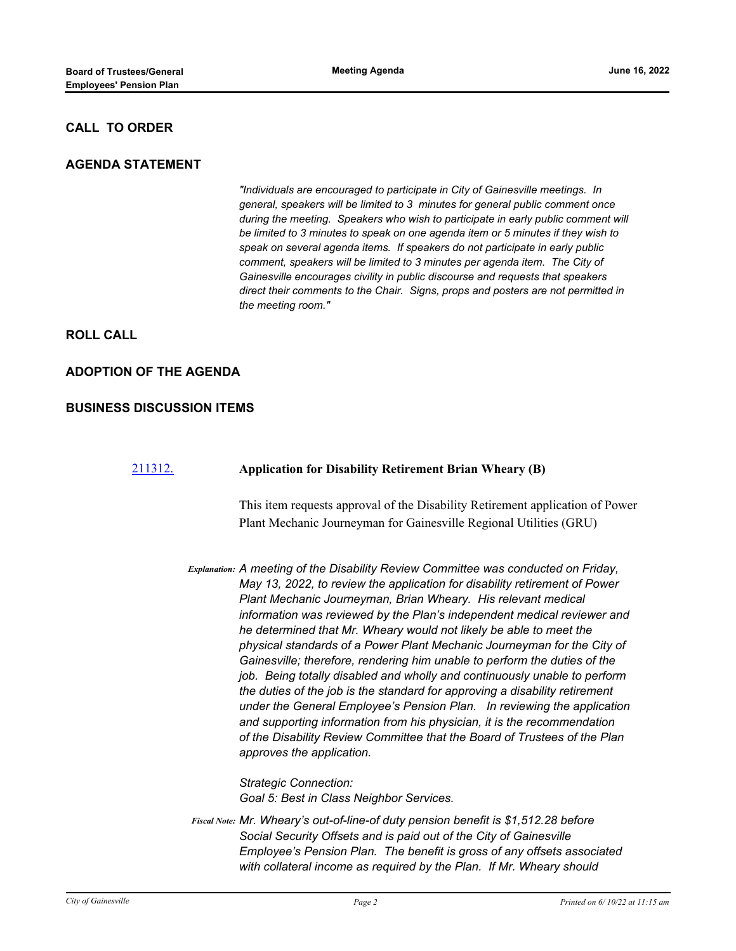### **CALL TO ORDER**

#### **AGENDA STATEMENT**

*"Individuals are encouraged to participate in City of Gainesville meetings. In general, speakers will be limited to 3 minutes for general public comment once during the meeting. Speakers who wish to participate in early public comment will be limited to 3 minutes to speak on one agenda item or 5 minutes if they wish to speak on several agenda items. If speakers do not participate in early public comment, speakers will be limited to 3 minutes per agenda item. The City of Gainesville encourages civility in public discourse and requests that speakers direct their comments to the Chair. Signs, props and posters are not permitted in the meeting room."*

**ROLL CALL**

#### **ADOPTION OF THE AGENDA**

#### **BUSINESS DISCUSSION ITEMS**

#### [211312.](http://gainesville.legistar.com/gateway.aspx?m=l&id=/matter.aspx?key=34094) **Application for Disability Retirement Brian Wheary (B)**

This item requests approval of the Disability Retirement application of Power Plant Mechanic Journeyman for Gainesville Regional Utilities (GRU)

*Explanation: A meeting of the Disability Review Committee was conducted on Friday, May 13, 2022, to review the application for disability retirement of Power Plant Mechanic Journeyman, Brian Wheary. His relevant medical information was reviewed by the Plan's independent medical reviewer and he determined that Mr. Wheary would not likely be able to meet the physical standards of a Power Plant Mechanic Journeyman for the City of Gainesville; therefore, rendering him unable to perform the duties of the job. Being totally disabled and wholly and continuously unable to perform the duties of the job is the standard for approving a disability retirement under the General Employee's Pension Plan. In reviewing the application and supporting information from his physician, it is the recommendation of the Disability Review Committee that the Board of Trustees of the Plan approves the application.*

> *Strategic Connection: Goal 5: Best in Class Neighbor Services.*

*Mr. Wheary's out-of-line-of duty pension benefit is \$1,512.28 before Fiscal Note: Social Security Offsets and is paid out of the City of Gainesville Employee's Pension Plan. The benefit is gross of any offsets associated with collateral income as required by the Plan. If Mr. Wheary should*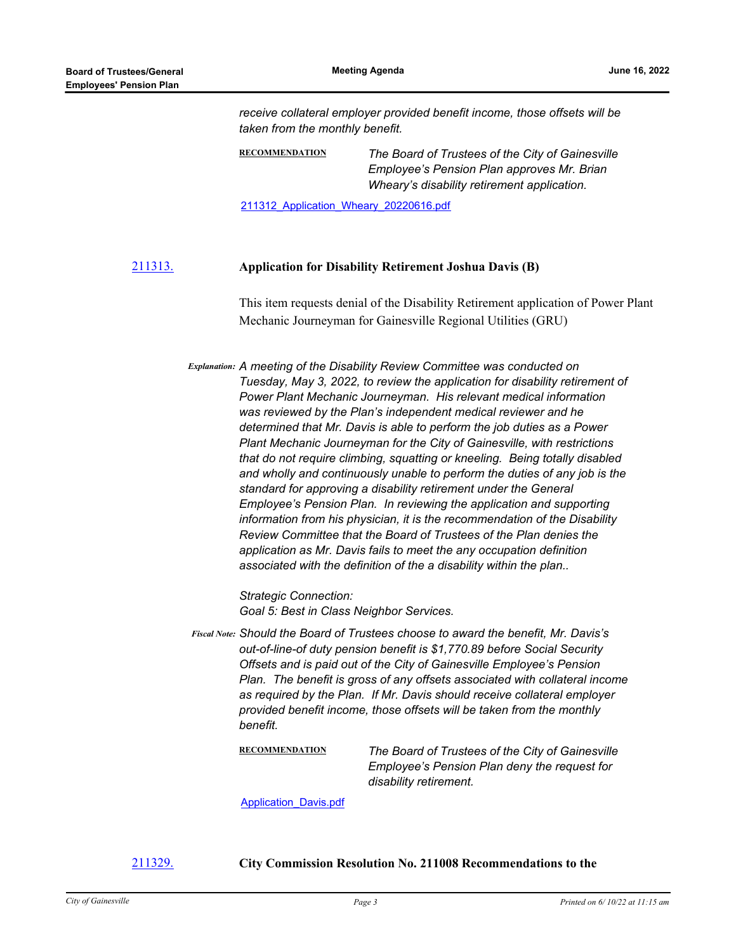*receive collateral employer provided benefit income, those offsets will be taken from the monthly benefit.*

**RECOMMENDATION** *The Board of Trustees of the City of Gainesville Employee's Pension Plan approves Mr. Brian Wheary's disability retirement application.*

211312 Application Wheary 20220616.pdf

#### [211313.](http://gainesville.legistar.com/gateway.aspx?m=l&id=/matter.aspx?key=34095) **Application for Disability Retirement Joshua Davis (B)**

This item requests denial of the Disability Retirement application of Power Plant Mechanic Journeyman for Gainesville Regional Utilities (GRU)

*Explanation: A meeting of the Disability Review Committee was conducted on Tuesday, May 3, 2022, to review the application for disability retirement of Power Plant Mechanic Journeyman. His relevant medical information was reviewed by the Plan's independent medical reviewer and he determined that Mr. Davis is able to perform the job duties as a Power Plant Mechanic Journeyman for the City of Gainesville, with restrictions that do not require climbing, squatting or kneeling. Being totally disabled and wholly and continuously unable to perform the duties of any job is the standard for approving a disability retirement under the General Employee's Pension Plan. In reviewing the application and supporting information from his physician, it is the recommendation of the Disability Review Committee that the Board of Trustees of the Plan denies the application as Mr. Davis fails to meet the any occupation definition associated with the definition of the a disability within the plan..*

> *Strategic Connection: Goal 5: Best in Class Neighbor Services.*

*Should the Board of Trustees choose to award the benefit, Mr. Davis's Fiscal Note: out-of-line-of duty pension benefit is \$1,770.89 before Social Security Offsets and is paid out of the City of Gainesville Employee's Pension Plan. The benefit is gross of any offsets associated with collateral income as required by the Plan. If Mr. Davis should receive collateral employer provided benefit income, those offsets will be taken from the monthly benefit.*

**RECOMMENDATION** *The Board of Trustees of the City of Gainesville Employee's Pension Plan deny the request for disability retirement.*

[Application\\_Davis.pdf](http://Gainesville.legistar.com/gateway.aspx?M=F&ID=34ad6594-814a-4db2-9dac-c6da6cf5d166.pdf)

[211329.](http://gainesville.legistar.com/gateway.aspx?m=l&id=/matter.aspx?key=34111) **City Commission Resolution No. 211008 Recommendations to the**